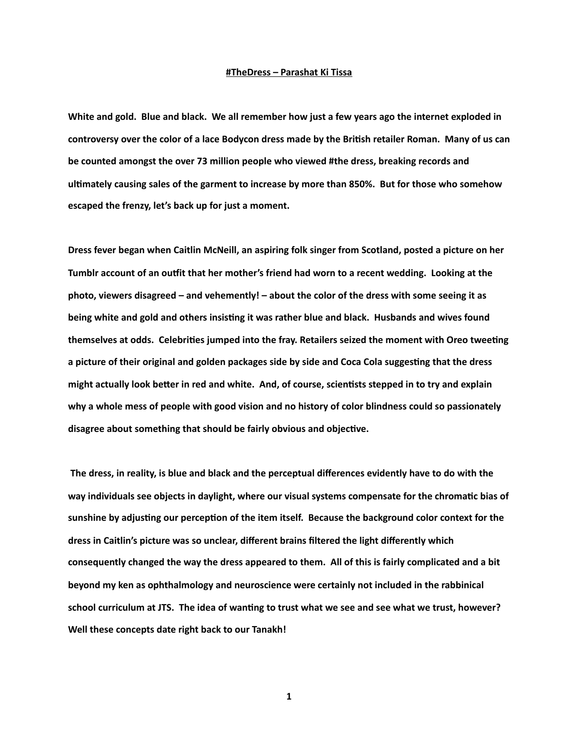## **#TheDress – Parashat Ki Tissa**

**White and gold. Blue and black. We all remember how just a few years ago the internet exploded in**  controversy over the color of a lace Bodycon dress made by the British retailer Roman. Many of us can **be counted amongst the over 73 million people who viewed #the dress, breaking records and**  ultimately causing sales of the garment to increase by more than 850%. But for those who somehow **escaped the frenzy, let's back up for just a moment.** 

**Dress fever began when Caitlin McNeill, an aspiring folk singer from Scotland, posted a picture on her**  Tumblr account of an outfit that her mother's friend had worn to a recent wedding. Looking at the **photo, viewers disagreed – and vehemently! – about the color of the dress with some seeing it as**  being white and gold and others insisting it was rather blue and black. Husbands and wives found themselves at odds. Celebrities jumped into the fray. Retailers seized the moment with Oreo tweeting a picture of their original and golden packages side by side and Coca Cola suggesting that the dress might actually look better in red and white. And, of course, scientists stepped in to try and explain **why a whole mess of people with good vision and no history of color blindness could so passionately**  disagree about something that should be fairly obvious and objective.

 **The dress, in reality, is blue and black and the perceptual differences evidently have to do with the**  way individuals see objects in daylight, where our visual systems compensate for the chromatic bias of sunshine by adjusting our perception of the item itself. Because the background color context for the **dress in Caitlin's picture was so unclear, different brains filtered the light differently which consequently changed the way the dress appeared to them. All of this is fairly complicated and a bit beyond my ken as ophthalmology and neuroscience were certainly not included in the rabbinical**  school curriculum at JTS. The idea of wanting to trust what we see and see what we trust, however? **Well these concepts date right back to our Tanakh!**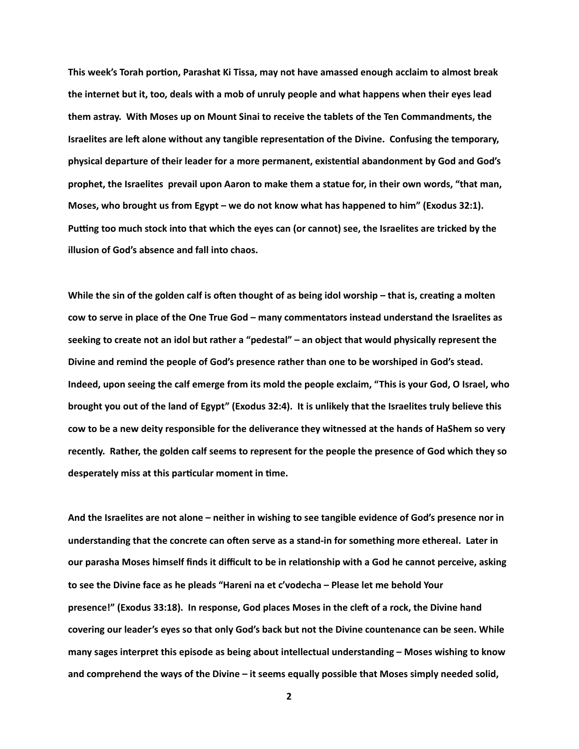This week's Torah portion, Parashat Ki Tissa, may not have amassed enough acclaim to almost break **the internet but it, too, deals with a mob of unruly people and what happens when their eyes lead them astray. With Moses up on Mount Sinai to receive the tablets of the Ten Commandments, the Israelites are left alone without any tangible representation of the Divine. Confusing the temporary,** physical departure of their leader for a more permanent, existential abandonment by God and God's **prophet, the Israelites prevail upon Aaron to make them a statue for, in their own words, "that man, Moses, who brought us from Egypt – we do not know what has happened to him" (Exodus 32:1).**  Putting too much stock into that which the eyes can (or cannot) see, the Israelites are tricked by the **illusion of God's absence and fall into chaos.** 

While the sin of the golden calf is often thought of as being idol worship – that is, creating a molten **cow to serve in place of the One True God – many commentators instead understand the Israelites as seeking to create not an idol but rather a "pedestal" – an object that would physically represent the Divine and remind the people of God's presence rather than one to be worshiped in God's stead. Indeed, upon seeing the calf emerge from its mold the people exclaim, "This is your God, O Israel, who brought you out of the land of Egypt" (Exodus 32:4). It is unlikely that the Israelites truly believe this cow to be a new deity responsible for the deliverance they witnessed at the hands of HaShem so very recently. Rather, the golden calf seems to represent for the people the presence of God which they so**  desperately miss at this particular moment in time.

**And the Israelites are not alone – neither in wishing to see tangible evidence of God's presence nor in**  understanding that the concrete can often serve as a stand-in for something more ethereal. Later in our parasha Moses himself finds it difficult to be in relationship with a God he cannot perceive, asking **to see the Divine face as he pleads "Hareni na et c'vodecha – Please let me behold Your**  presence!" (Exodus 33:18). In response, God places Moses in the cleft of a rock, the Divine hand **covering our leader's eyes so that only God's back but not the Divine countenance can be seen. While many sages interpret this episode as being about intellectual understanding – Moses wishing to know and comprehend the ways of the Divine – it seems equally possible that Moses simply needed solid,**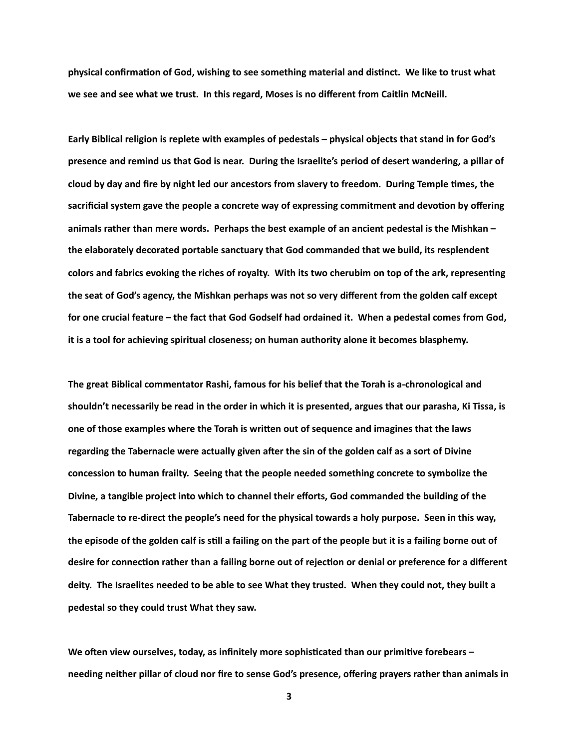physical confirmation of God, wishing to see something material and distinct. We like to trust what **we see and see what we trust. In this regard, Moses is no different from Caitlin McNeill.** 

**Early Biblical religion is replete with examples of pedestals – physical objects that stand in for God's presence and remind us that God is near. During the Israelite's period of desert wandering, a pillar of**  cloud by day and fire by night led our ancestors from slavery to freedom. During Temple times, the sacrificial system gave the people a concrete way of expressing commitment and devotion by offering **animals rather than mere words. Perhaps the best example of an ancient pedestal is the Mishkan – the elaborately decorated portable sanctuary that God commanded that we build, its resplendent**  colors and fabrics evoking the riches of royalty. With its two cherubim on top of the ark, representing **the seat of God's agency, the Mishkan perhaps was not so very different from the golden calf except for one crucial feature – the fact that God Godself had ordained it. When a pedestal comes from God, it is a tool for achieving spiritual closeness; on human authority alone it becomes blasphemy.** 

**The great Biblical commentator Rashi, famous for his belief that the Torah is a-chronological and shouldn't necessarily be read in the order in which it is presented, argues that our parasha, Ki Tissa, is**  one of those examples where the Torah is written out of sequence and imagines that the laws regarding the Tabernacle were actually given after the sin of the golden calf as a sort of Divine **concession to human frailty. Seeing that the people needed something concrete to symbolize the Divine, a tangible project into which to channel their efforts, God commanded the building of the Tabernacle to re-direct the people's need for the physical towards a holy purpose. Seen in this way,**  the episode of the golden calf is still a failing on the part of the people but it is a failing borne out of desire for connection rather than a failing borne out of rejection or denial or preference for a different **deity. The Israelites needed to be able to see What they trusted. When they could not, they built a pedestal so they could trust What they saw.** 

We often view ourselves, today, as infinitely more sophisticated than our primitive forebears **needing neither pillar of cloud nor fire to sense God's presence, offering prayers rather than animals in**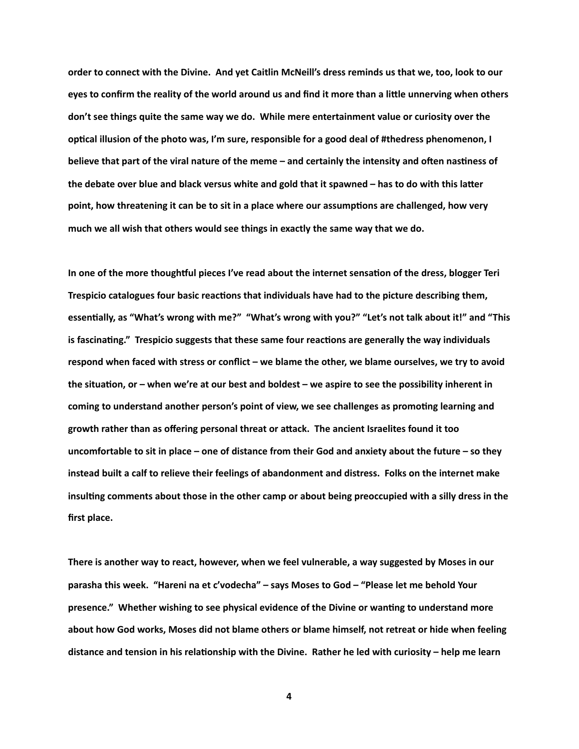**order to connect with the Divine. And yet Caitlin McNeill's dress reminds us that we, too, look to our**  eyes to confirm the reality of the world around us and find it more than a little unnerving when others **don't see things quite the same way we do. While mere entertainment value or curiosity over the**  optical illusion of the photo was, I'm sure, responsible for a good deal of #thedress phenomenon, I believe that part of the viral nature of the meme - and certainly the intensity and often nastiness of the debate over blue and black versus white and gold that it spawned – has to do with this latter point, how threatening it can be to sit in a place where our assumptions are challenged, how very **much we all wish that others would see things in exactly the same way that we do.** 

In one of the more thoughtful pieces I've read about the internet sensation of the dress, blogger Teri Trespicio catalogues four basic reactions that individuals have had to the picture describing them, essentially, as "What's wrong with me?" "What's wrong with you?" "Let's not talk about it!" and "This is fascinating." Trespicio suggests that these same four reactions are generally the way individuals **respond when faced with stress or conflict – we blame the other, we blame ourselves, we try to avoid**  the situation, or – when we're at our best and boldest – we aspire to see the possibility inherent in coming to understand another person's point of view, we see challenges as promoting learning and **growth rather than as offering personal threat or aWack. The ancient Israelites found it too uncomfortable to sit in place – one of distance from their God and anxiety about the future – so they instead built a calf to relieve their feelings of abandonment and distress. Folks on the internet make**  insulting comments about those in the other camp or about being preoccupied with a silly dress in the **first place.** 

**There is another way to react, however, when we feel vulnerable, a way suggested by Moses in our parasha this week. "Hareni na et c'vodecha" – says Moses to God – "Please let me behold Your**  presence." Whether wishing to see physical evidence of the Divine or wanting to understand more **about how God works, Moses did not blame others or blame himself, not retreat or hide when feeling**  distance and tension in his relationship with the Divine. Rather he led with curiosity – help me learn